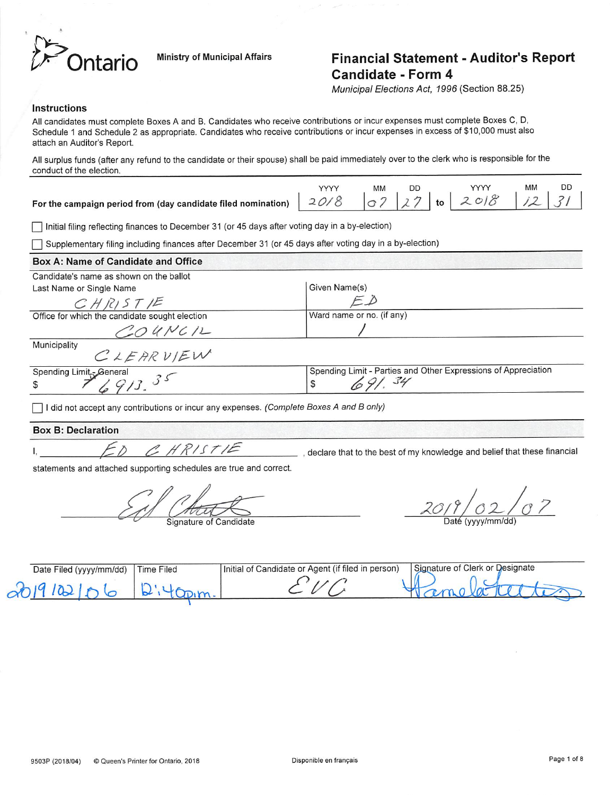

## ntario Ministry of Municipal Affairs Financial Statement - Auditor's Report Candidate - Form 4

Municipal Elections Act, 1996 (Section 88.25)

### Instructions

All candidates must complete Boxes A and B, Candidates who receive contributions or incur expenses must complete Boxes C, D, Schedule 1 and Schedule 2 as appropriate. Candidates who receive contributions or incur expenses in excess of \$10,000 must also attach an Auditor's Report.

Ail surplus funds (after any refund to the candidate or their spouse) shall be paid immediately over to the clerk who is responsible for the conduct of the election.

|                                                                                                                                        | ΜМ | DD | <b>VVVV</b> | МM | DD |
|----------------------------------------------------------------------------------------------------------------------------------------|----|----|-------------|----|----|
| For the campaign period from (day candidate filed nomination) $\vert$ 20/8 $\vert$ 07 $\vert$ 27 $\vert$ to $\vert$ 20/8 $\vert$ 12 31 |    |    |             |    |    |

 $\overline{\phantom{a}}$  Initial filing reflecting finances to December 31 (or 45 days after voting day in a by-election)

Supplementary filing including finances after December 31 (or 45 days after voting day in a by-election)

| Box A: Name of Candidate and Office                                                                                                                                                                                                                                                                                                                                                                           |                                                                |
|---------------------------------------------------------------------------------------------------------------------------------------------------------------------------------------------------------------------------------------------------------------------------------------------------------------------------------------------------------------------------------------------------------------|----------------------------------------------------------------|
| Candidate's name as shown on the ballot                                                                                                                                                                                                                                                                                                                                                                       |                                                                |
| Last Name or Single Name                                                                                                                                                                                                                                                                                                                                                                                      | Given Name(s)                                                  |
| CHRIST/E                                                                                                                                                                                                                                                                                                                                                                                                      | ΕĎ                                                             |
| Office for which the candidate sought election                                                                                                                                                                                                                                                                                                                                                                | Ward name or no. (if any)                                      |
| $CO$ UNCIL                                                                                                                                                                                                                                                                                                                                                                                                    |                                                                |
| Municipality<br>CLEARVIEW                                                                                                                                                                                                                                                                                                                                                                                     |                                                                |
|                                                                                                                                                                                                                                                                                                                                                                                                               | Spending Limit - Parties and Other Expressions of Appreciation |
| Spending Limit = General<br>\$<br>$\overline{ }$ $\overline{ }$ $\overline{ }$ $\overline{ }$ $\overline{ }$ $\overline{ }$ $\overline{ }$ $\overline{ }$ $\overline{ }$ $\overline{ }$ $\overline{ }$ $\overline{ }$ $\overline{ }$ $\overline{ }$ $\overline{ }$ $\overline{ }$ $\overline{ }$ $\overline{ }$ $\overline{ }$ $\overline{ }$ $\overline{ }$ $\overline{ }$ $\overline{ }$ $\overline{ }$ $\$ | 691, 34<br>\$                                                  |
| I did not accept any contributions or incur any expenses. (Complete Boxes A and B only)                                                                                                                                                                                                                                                                                                                       |                                                                |

### Box B: Declaration

 $\mathsf{I},$ 

CHRISTIE

\_ , declare that to the best of my knowledge and belief that these financial

statements and attached supporting schedules are true and correct.

Signature of Candidate

 $\frac{20/9/02/07}{\text{Date (yyyy/mm/dd)}}$ 

| Date Filed (yyyy/mm/dd) | Filed<br>ime | ' of Candidate or Agent (if filed in person)<br>'Initial of | Signature of Clerk or Designate |
|-------------------------|--------------|-------------------------------------------------------------|---------------------------------|
|                         |              |                                                             |                                 |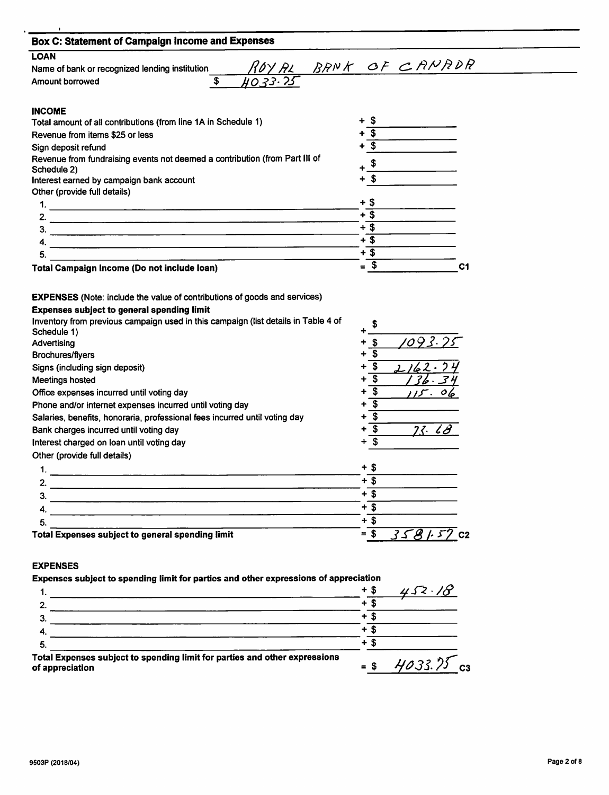$\ddot{\phantom{0}}$ 

| <b>Box C: Statement of Campaign Income and Expenses</b>                                                                                |                                    |
|----------------------------------------------------------------------------------------------------------------------------------------|------------------------------------|
| <b>LOAN</b>                                                                                                                            |                                    |
| Name of bank or recognized lending institution                                                                                         | ROYAL BRNK OF CANADR               |
| $\overline{\boldsymbol{\mathsf{s}}}$<br>Amount borrowed                                                                                |                                    |
| <b>INCOME</b>                                                                                                                          |                                    |
| Total amount of all contributions (from line 1A in Schedule 1)                                                                         |                                    |
| Revenue from items \$25 or less                                                                                                        |                                    |
| Sign deposit refund                                                                                                                    | $+$ s                              |
| Revenue from fundraising events not deemed a contribution (from Part III of                                                            | \$                                 |
| Schedule 2)                                                                                                                            |                                    |
| Interest earned by campaign bank account                                                                                               | + S                                |
| Other (provide full details)                                                                                                           | + \$                               |
|                                                                                                                                        | $+\overline{\$}$                   |
| 2.                                                                                                                                     | $+$ \$                             |
|                                                                                                                                        | $+$ \$                             |
| 5.                                                                                                                                     | $+ \overline{\$}$                  |
|                                                                                                                                        |                                    |
| <b>Total Campaign Income (Do not include loan)</b><br><b>EXPENSES</b> (Note: include the value of contributions of goods and services) | $=$ \$<br>C <sub>1</sub>           |
| <b>Expenses subject to general spending limit</b>                                                                                      |                                    |
| Inventory from previous campaign used in this campaign (list details in Table 4 of                                                     | \$                                 |
| Schedule 1)<br>Advertising                                                                                                             | 1093.75<br>- \$                    |
| <b>Brochures/flyers</b>                                                                                                                | \$                                 |
| Signs (including sign deposit)                                                                                                         | $\mathbf{\hat{5}}$<br>2162-74      |
| <b>Meetings hosted</b>                                                                                                                 | $\overline{\mathbf{s}}$            |
| Office expenses incurred until voting day                                                                                              | $\overline{\mathbf{s}}$<br>٠<br>06 |
| Phone and/or internet expenses incurred until voting day                                                                               | + s                                |
| Salaries, benefits, honoraria, professional fees incurred until voting day                                                             | $+\overline{\mathcal{S}}$          |
| Bank charges incurred until voting day                                                                                                 | 23.18<br>+ \$                      |
| Interest charged on loan until voting day                                                                                              | $+$ \$                             |
| Other (provide full details)                                                                                                           |                                    |
|                                                                                                                                        | + \$                               |
|                                                                                                                                        | $+$ \$                             |
|                                                                                                                                        | $+$ \$                             |
| 4.                                                                                                                                     | $+3$                               |
| 5.                                                                                                                                     | $+3$<br>$3581.57$ C2               |

### EXPENSES

Expenses subject to spending limit for parties and other expressions of appreciation

| + 5<br>-5. | Total Expenses subject to spending limit for parties and other expressions<br>of appreciation | $=$ S | $4033.75$ cs |
|------------|-----------------------------------------------------------------------------------------------|-------|--------------|
|            |                                                                                               |       |              |
|            |                                                                                               |       |              |
|            |                                                                                               |       |              |
|            |                                                                                               |       |              |
|            |                                                                                               |       | 452.18       |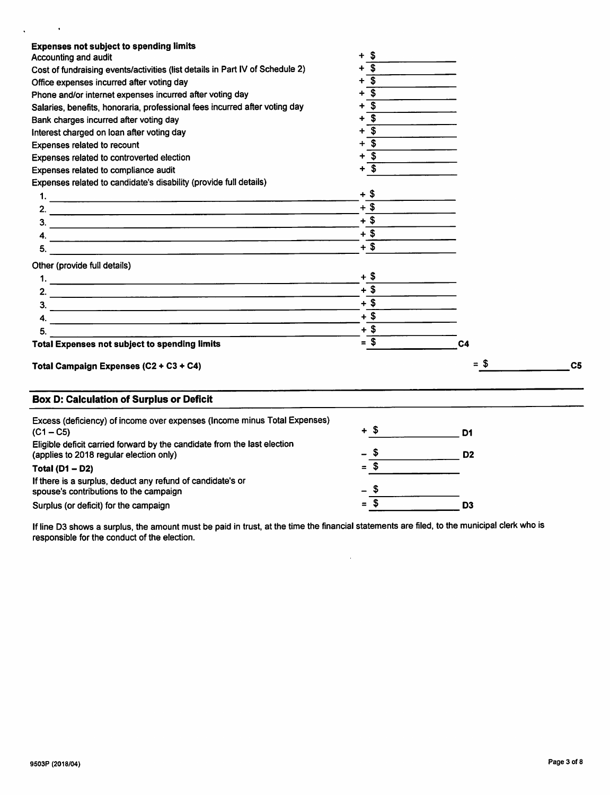| <b>Expenses not subject to spending limits</b>                                                                      |                                |                |                |
|---------------------------------------------------------------------------------------------------------------------|--------------------------------|----------------|----------------|
| Accounting and audit                                                                                                | \$<br>+                        |                |                |
| Cost of fundraising events/activities (list details in Part IV of Schedule 2)                                       | \$<br>+                        |                |                |
| Office expenses incurred after voting day                                                                           | \$                             |                |                |
| Phone and/or internet expenses incurred after voting day                                                            | $\overline{\mathbf{s}}$        |                |                |
| Salaries, benefits, honoraria, professional fees incurred after voting day                                          | $\boldsymbol{\mathsf{s}}$<br>٠ |                |                |
| Bank charges incurred after voting day                                                                              | $\overline{\mathbf{s}}$<br>÷   |                |                |
| Interest charged on loan after voting day                                                                           | \$                             |                |                |
| Expenses related to recount                                                                                         | $\mathbf s$<br>÷               |                |                |
| Expenses related to controverted election                                                                           | \$                             |                |                |
| Expenses related to compliance audit                                                                                | \$                             |                |                |
| Expenses related to candidate's disability (provide full details)                                                   |                                |                |                |
|                                                                                                                     | $+$ \$                         |                |                |
|                                                                                                                     | $+$ \$                         |                |                |
|                                                                                                                     | $+$ \$                         |                |                |
|                                                                                                                     | $+$ \$                         |                |                |
|                                                                                                                     | $+$ \$                         |                |                |
|                                                                                                                     |                                |                |                |
| Other (provide full details)                                                                                        | + \$                           |                |                |
|                                                                                                                     | $+$ \$                         |                |                |
|                                                                                                                     | $+$ \$                         |                |                |
|                                                                                                                     |                                |                |                |
|                                                                                                                     | $+$ \$                         |                |                |
| 5.                                                                                                                  | $+$ \$                         |                |                |
| <b>Total Expenses not subject to spending limits</b>                                                                | $= $$                          | C <sub>4</sub> |                |
| Total Campaign Expenses (C2 + C3 + C4)                                                                              |                                | $= 5$          | C <sub>5</sub> |
| <b>Box D: Calculation of Surplus or Deficit</b>                                                                     |                                |                |                |
| Excess (deficiency) of income over expenses (Income minus Total Expenses)                                           |                                |                |                |
| $(C1 - C5)$                                                                                                         | + \$                           | D1             |                |
| Eligible deficit carried forward by the candidate from the last election<br>(applies to 2018 regular election only) | - 55                           | D <sub>2</sub> |                |
| Total ( $D1 - D2$ )                                                                                                 | $=$ \$                         |                |                |
| If there is a surplus, deduct any refund of candidate's or<br>spouse's contributions to the campaign                |                                |                |                |
| Surplus (or deficit) for the campaign                                                                               | $=$ \$                         | D <sub>3</sub> |                |

If line D3 shows a surplus, the amount must be paid in trust, at the time the financial statements are filed, to the municipal clerk who is responsible for the conduct of the election.

 $\hat{\mathcal{A}}$ 

 $\sim$   $\sim$ 

 $\hat{\mathbf{v}}$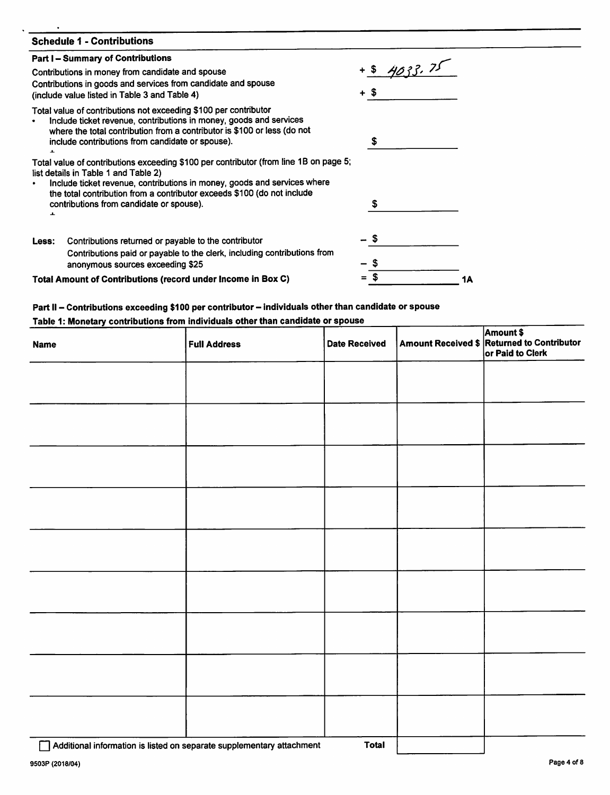| <b>Schedule 1 - Contributions</b>                                                                                                                                                                                                                                      |             |    |
|------------------------------------------------------------------------------------------------------------------------------------------------------------------------------------------------------------------------------------------------------------------------|-------------|----|
| <b>Part I – Summary of Contributions</b>                                                                                                                                                                                                                               |             |    |
| Contributions in money from candidate and spouse                                                                                                                                                                                                                       | $+54033.75$ |    |
| Contributions in goods and services from candidate and spouse<br>(include value listed in Table 3 and Table 4)                                                                                                                                                         |             |    |
| Total value of contributions not exceeding \$100 per contributor<br>Include ticket revenue, contributions in money, goods and services<br>where the total contribution from a contributor is \$100 or less (do not<br>include contributions from candidate or spouse). | \$          |    |
|                                                                                                                                                                                                                                                                        |             |    |
| Total value of contributions exceeding \$100 per contributor (from line 1B on page 5;<br>list details in Table 1 and Table 2)                                                                                                                                          |             |    |
| Include ticket revenue, contributions in money, goods and services where<br>the total contribution from a contributor exceeds \$100 (do not include                                                                                                                    |             |    |
| contributions from candidate or spouse).<br>ᆂ                                                                                                                                                                                                                          | S           |    |
| Contributions returned or payable to the contributor<br>Less:                                                                                                                                                                                                          |             |    |
| Contributions paid or payable to the clerk, including contributions from<br>anonymous sources exceeding \$25                                                                                                                                                           |             |    |
| Total Amount of Contributions (record under Income in Box C)                                                                                                                                                                                                           |             | 1Α |

## Part II - Contributions exceeding \$100 per contributor - individuals other than candidate or spouse<br>Table 1: Monetary contributions from individuals other than candidate or spouse

| <b>Name</b> | <b>Full Address</b> | <b>Date Received</b> | Amount \$<br>Amount Received \$ Returned to Contributor<br>or Paid to Clerk |
|-------------|---------------------|----------------------|-----------------------------------------------------------------------------|
|             |                     |                      |                                                                             |
|             |                     |                      |                                                                             |
|             |                     |                      |                                                                             |
|             |                     |                      |                                                                             |
|             |                     |                      |                                                                             |
|             |                     |                      |                                                                             |
|             |                     |                      |                                                                             |
|             |                     |                      |                                                                             |
|             |                     |                      |                                                                             |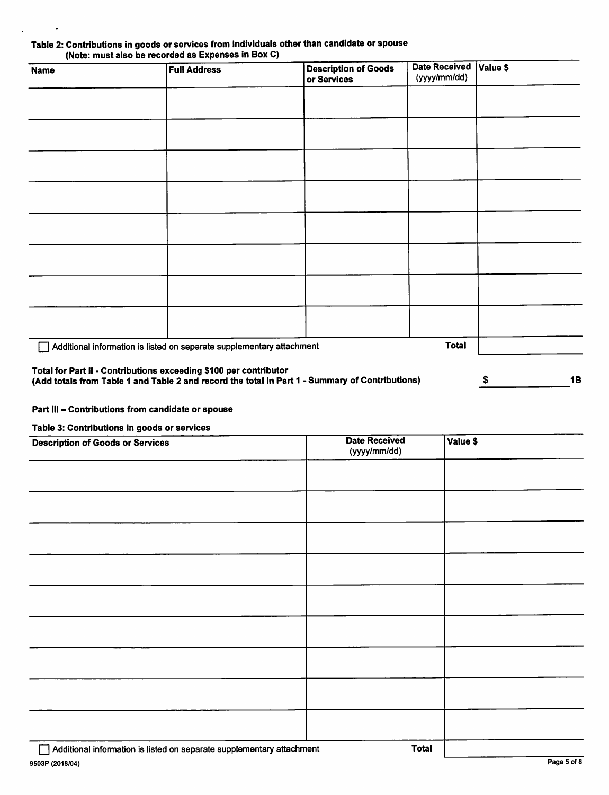| Table 2: Contributions in goods or services from individuals other than candidate or spouse |  |
|---------------------------------------------------------------------------------------------|--|
| (Note: must also be recorded as Expenses in Box C)                                          |  |

| <b>Name</b> | <b>Full Address</b>                                                   | <b>Description of Goods</b><br>or Services                                                      | <b>Date Received</b><br>(yyyy/mm/dd) | Value \$ |
|-------------|-----------------------------------------------------------------------|-------------------------------------------------------------------------------------------------|--------------------------------------|----------|
|             |                                                                       |                                                                                                 |                                      |          |
|             |                                                                       |                                                                                                 |                                      |          |
|             |                                                                       |                                                                                                 |                                      |          |
|             |                                                                       |                                                                                                 |                                      |          |
|             |                                                                       |                                                                                                 |                                      |          |
|             |                                                                       |                                                                                                 |                                      |          |
|             |                                                                       |                                                                                                 |                                      |          |
|             |                                                                       |                                                                                                 |                                      |          |
|             | Additional information is listed on separate supplementary attachment |                                                                                                 | <b>Total</b>                         |          |
|             | Total for Part II - Contributions exceeding \$100 per contributor     | (Add totals from Table 1 and Table 2 and record the total in Part 1 - Summary of Contributions) |                                      | 1B<br>\$ |

### Part III - Contributions from candidate or spouse

### Table 3: Contributions in goods or services

| $\sim$ $\sim$<br><b>Description of Goods or Services</b> | <b>Date Received</b><br>(yyyy/mm/dd) | Value \$ |
|----------------------------------------------------------|--------------------------------------|----------|
|                                                          |                                      |          |
|                                                          |                                      |          |
|                                                          |                                      |          |
|                                                          |                                      |          |
|                                                          |                                      |          |
|                                                          |                                      |          |
|                                                          |                                      |          |
|                                                          |                                      |          |
|                                                          |                                      |          |
|                                                          |                                      |          |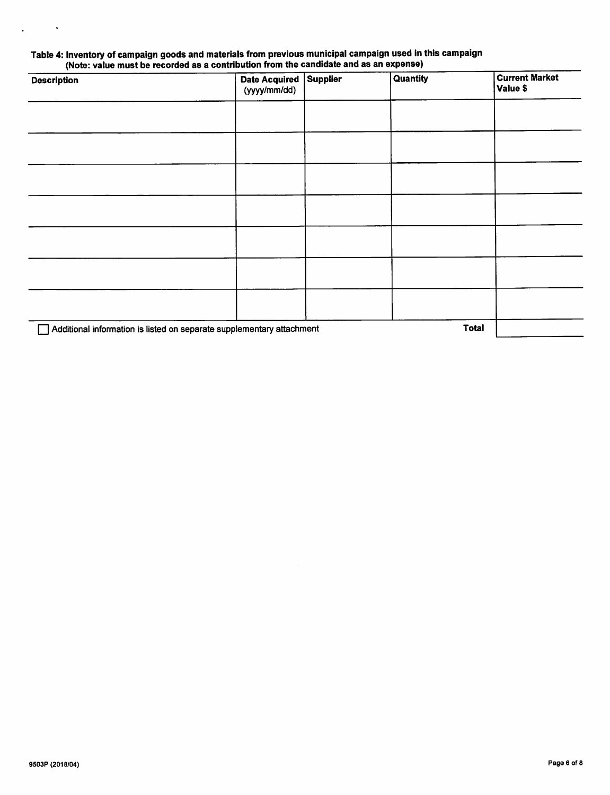# Table 4: Inventory of campaign goods and materials from previous municipal campaign used in this campaign

| <b>Description</b>                                                    | <b>Date Acquired</b><br>(yyyy/mm/dd) | Supplier | Quantity | <b>Current Market</b><br>Value \$ |
|-----------------------------------------------------------------------|--------------------------------------|----------|----------|-----------------------------------|
|                                                                       |                                      |          |          |                                   |
|                                                                       |                                      |          |          |                                   |
|                                                                       |                                      |          |          |                                   |
|                                                                       |                                      |          |          |                                   |
|                                                                       |                                      |          |          |                                   |
|                                                                       |                                      |          |          |                                   |
|                                                                       |                                      |          |          |                                   |
| Additional information is listed on separate supplementary attachment |                                      |          |          |                                   |

 $\ddot{\phantom{0}}$ 

 $\ddot{\phantom{a}}$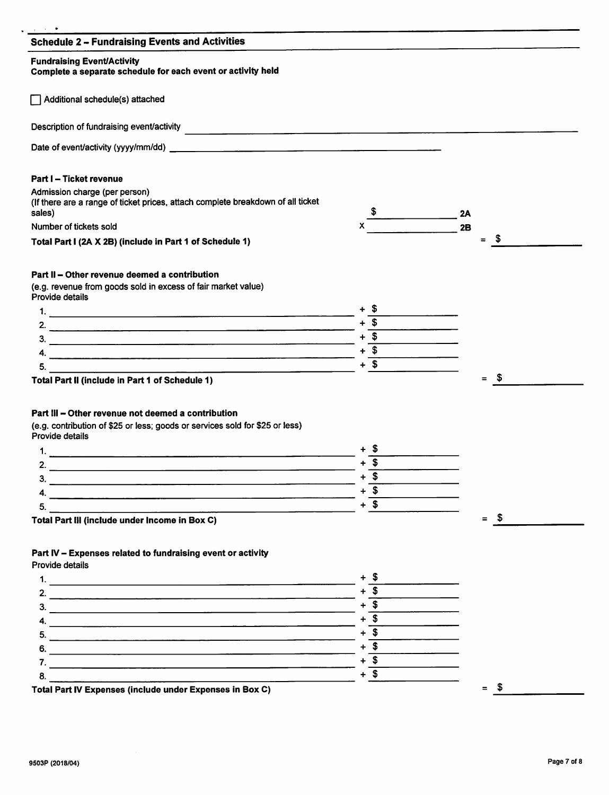|        | - \$<br>$\equiv$                                                                                                                                     |
|--------|------------------------------------------------------------------------------------------------------------------------------------------------------|
|        |                                                                                                                                                      |
|        |                                                                                                                                                      |
|        |                                                                                                                                                      |
|        |                                                                                                                                                      |
|        |                                                                                                                                                      |
|        |                                                                                                                                                      |
|        |                                                                                                                                                      |
|        | - \$<br>$=$                                                                                                                                          |
|        |                                                                                                                                                      |
|        |                                                                                                                                                      |
|        |                                                                                                                                                      |
|        |                                                                                                                                                      |
|        |                                                                                                                                                      |
|        |                                                                                                                                                      |
| $+$ \$ |                                                                                                                                                      |
|        |                                                                                                                                                      |
|        | $x \xrightarrow{\$}$<br>2A<br>2B<br>$+$ \$<br>$+\overline{\text{3}$<br>$+$ \$<br>$+$ \$<br>+ \$<br>$+\overline{\$}$<br>$+$ \$<br>$+$ $\overline{\$}$ |

Total Part IV Expenses (include under Expenses In Box 0) = \$

 $7. +$  \$  $8. + $$